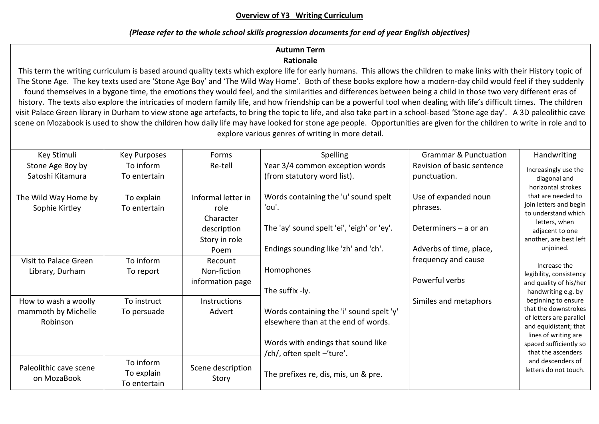# **Overview of Y3 Writing Curriculum**

# *(Please refer to the whole school skills progression documents for end of year English objectives)*

#### **Autumn Term Rationale** This term the writing curriculum is based around quality texts which explore life for early humans. This allows the children to make links with their History topic of The Stone Age. The key texts used are 'Stone Age Boy' and 'The Wild Way Home'. Both of these books explore how a modern-day child would feel if they suddenly found themselves in a bygone time, the emotions they would feel, and the similarities and differences between being a child in those two very different eras of history. The texts also explore the intricacies of modern family life, and how friendship can be a powerful tool when dealing with life's difficult times. The children visit Palace Green library in Durham to view stone age artefacts, to bring the topic to life, and also take part in a school-based 'Stone age day'. A 3D paleolithic cave scene on Mozabook is used to show the children how daily life may have looked for stone age people. Opportunities are given for the children to write in role and to explore various genres of writing in more detail. Key Stimuli Ney Purposes National Roms National Spelling Spelling Spelling Spelling Spelling Spelling Spelling Spelling Spelling Spelling Spelling Spelling Spelling Spelling Spelling Spelling Spelling Spelling Spence Spenc Stone Age Boy by Satoshi Kitamura To inform To entertain Re-tell Year 3/4 common exception words (from statutory word list). Words containing the 'u' sound spelt 'ou'. The 'ay' sound spelt 'ei', 'eigh' or 'ey'. Endings sounding like 'zh' and 'ch'. Homophones The suffix -ly. Words containing the 'i' sound spelt 'y' elsewhere than at the end of words. Words with endings that sound like /ch/, often spelt –'ture'. The prefixes re, dis, mis, un & pre. Revision of basic sentence punctuation. Use of expanded noun phrases. Determiners – a or an Adverbs of time, place, frequency and cause Powerful verbs Similes and metaphors Increasingly use the diagonal and horizontal strokes that are needed to join letters and begin to understand which letters, when adjacent to one another, are best left unjoined. Increase the legibility, consistency and quality of his/her handwriting e.g. by beginning to ensure that the downstrokes of letters are parallel and equidistant; that lines of writing are spaced sufficiently so that the ascenders and descenders of letters do not touch. The Wild Way Home by Sophie Kirtley To explain To entertain Informal letter in role Character description Story in role Poem Visit to Palace Green Library, Durham To inform To report Recount Non-fiction information page How to wash a woolly mammoth by Michelle Robinson To instruct To persuade **Instructions** Advert Paleolithic cave scene on MozaBook To inform To explain To entertain Scene description Story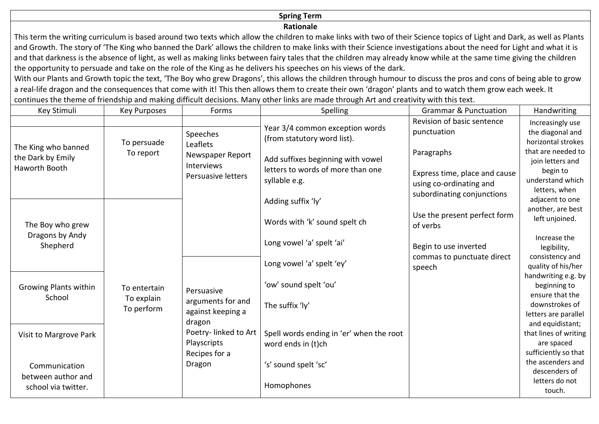# **Spring Term**

### **Rationale**

This term the writing curriculum is based around two texts which allow the children to make links with two of their Science topics of Light and Dark, as well as Plants and Growth. The story of 'The King who banned the Dark' allows the children to make links with their Science investigations about the need for Light and what it is and that darkness is the absence of light, as well as making links between fairy tales that the children may already know while at the same time giving the children the opportunity to persuade and take on the role of the King as he delivers his speeches on his views of the dark.

With our Plants and Growth topic the text, 'The Boy who grew Dragons', this allows the children through humour to discuss the pros and cons of being able to grow a real-life dragon and the consequences that come with it! This then allows them to create their own 'dragon' plants and to watch them grow each week. It continues the theme of friendship and making difficult decisions. Many other links are made through Art and creativity with this text.

| Key Stimuli                                                                        | <b>Key Purposes</b>                      | Forms                                                          | Spelling                                                                                | <b>Grammar &amp; Punctuation</b>                                                       | Handwriting                                                                      |
|------------------------------------------------------------------------------------|------------------------------------------|----------------------------------------------------------------|-----------------------------------------------------------------------------------------|----------------------------------------------------------------------------------------|----------------------------------------------------------------------------------|
| The King who banned                                                                | To persuade<br>To report                 | Speeches<br>Leaflets<br>Newspaper Report                       | Year 3/4 common exception words<br>(from statutory word list).                          | Revision of basic sentence<br>punctuation<br>Paragraphs                                | Increasingly use<br>the diagonal and<br>horizontal strokes<br>that are needed to |
| the Dark by Emily<br><b>Haworth Booth</b>                                          |                                          | <b>Interviews</b><br>Persuasive letters                        | Add suffixes beginning with vowel<br>letters to words of more than one<br>syllable e.g. | Express time, place and cause<br>using co-ordinating and<br>subordinating conjunctions | join letters and<br>begin to<br>understand which<br>letters, when                |
|                                                                                    |                                          |                                                                | Adding suffix 'ly'                                                                      |                                                                                        | adjacent to one                                                                  |
| The Boy who grew<br>Dragons by Andy<br>Shepherd<br>Growing Plants within<br>School | To entertain<br>To explain<br>To perform | Persuasive<br>arguments for and<br>against keeping a           | Words with 'k' sound spelt ch                                                           | Use the present perfect form<br>of verbs                                               | another, are best<br>left unjoined.                                              |
|                                                                                    |                                          |                                                                | Long vowel 'a' spelt 'ai'                                                               | Begin to use inverted<br>commas to punctuate direct<br>speech                          | Increase the<br>legibility,                                                      |
|                                                                                    |                                          |                                                                | Long vowel 'a' spelt 'ey'                                                               |                                                                                        | consistency and<br>quality of his/her<br>handwriting e.g. by                     |
|                                                                                    |                                          |                                                                | 'ow' sound spelt 'ou'                                                                   |                                                                                        | beginning to                                                                     |
|                                                                                    |                                          |                                                                | The suffix 'ly'                                                                         |                                                                                        | ensure that the<br>downstrokes of<br>letters are parallel                        |
| Visit to Margrove Park                                                             |                                          | dragon<br>Poetry-linked to Art<br>Playscripts<br>Recipes for a | Spell words ending in 'er' when the root<br>word ends in (t)ch                          |                                                                                        | and equidistant;<br>that lines of writing<br>are spaced<br>sufficiently so that  |
| Communication<br>between author and                                                |                                          | Dragon                                                         | 's' sound spelt 'sc'                                                                    |                                                                                        | the ascenders and<br>descenders of                                               |
| school via twitter.                                                                |                                          |                                                                | Homophones                                                                              |                                                                                        | letters do not<br>touch.                                                         |